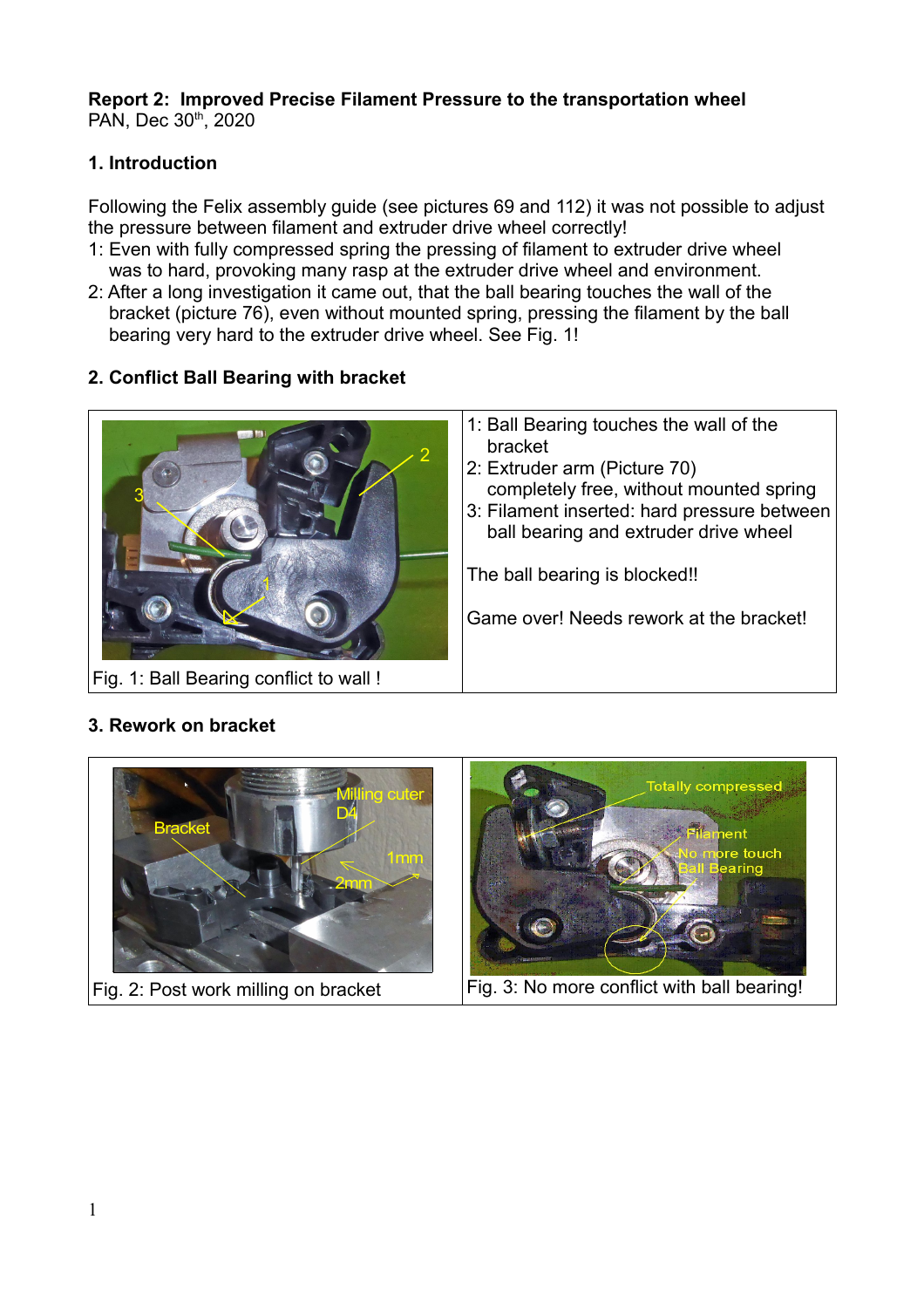#### **Report 2: Improved Precise Filament Pressure to the transportation wheel** PAN, Dec 30<sup>th</sup>, 2020

# **1. Introduction**

Following the Felix assembly guide (see pictures 69 and 112) it was not possible to adjust the pressure between filament and extruder drive wheel correctly!

- 1: Even with fully compressed spring the pressing of filament to extruder drive wheel was to hard, provoking many rasp at the extruder drive wheel and environment.
- 2: After a long investigation it came out, that the ball bearing touches the wall of the bracket (picture 76), even without mounted spring, pressing the filament by the ball bearing very hard to the extruder drive wheel. See Fig. 1!

# **2. Conflict Ball Bearing with bracket**



# **3. Rework on bracket**